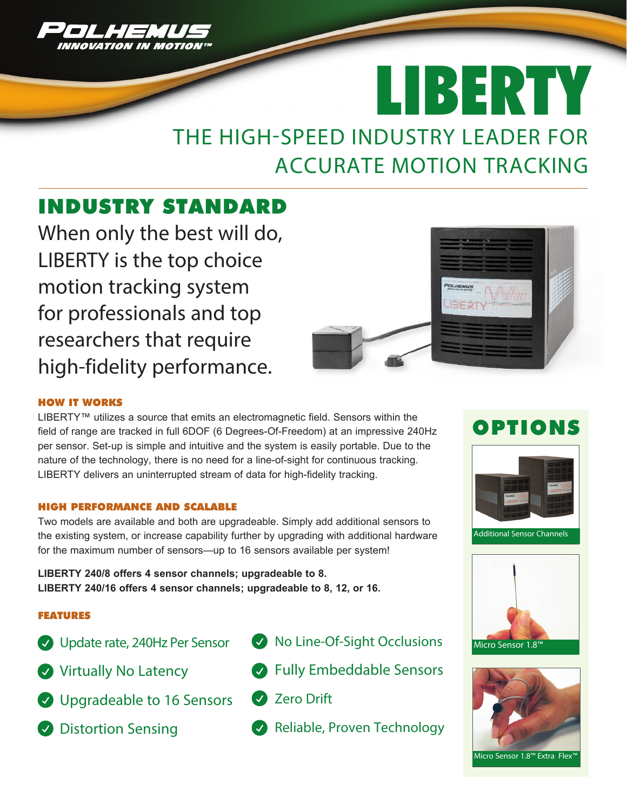

# THE HIGH-SPEED INDUSTRY LEADER FOR ACCURATE MOTION TRACKING LIBERTY

# INDUSTRY STANDARD

When only the best will do, LIBERTY is the top choice motion tracking system for professionals and top researchers that require high-fidelity performance.



### HOW IT WORKS

LIBERTY™ utilizes a source that emits an electromagnetic field. Sensors within the field of range are tracked in full 6DOF (6 Degrees-Of-Freedom) at an impressive 240Hz per sensor. Set-up is simple and intuitive and the system is easily portable. Due to the nature of the technology, there is no need for a line-of-sight for continuous tracking. LIBERTY delivers an uninterrupted stream of data for high-fidelity tracking.

#### HIGH PERFORMANCE AND SCALABLE

Two models are available and both are upgradeable. Simply add additional sensors to the existing system, or increase capability further by upgrading with additional hardware for the maximum number of sensors—up to 16 sensors available per system!

**LIBERTY 240/8 offers 4 sensor channels; upgradeable to 8. LIBERTY 240/16 offers 4 sensor channels; upgradeable to 8, 12, or 16.**

### FEATURES

- Update rate, 240Hz Per Sensor
- Virtually No Latency
- **O** Upgradeable to 16 Sensors
- **Distortion Sensing**
- $\bullet$  No Line-Of-Sight Occlusions
- **Bully Embeddable Sensors**
- **2** Zero Drift
- Reliable, Proven Technology

# OPTIONS



Additional Sensor Channels